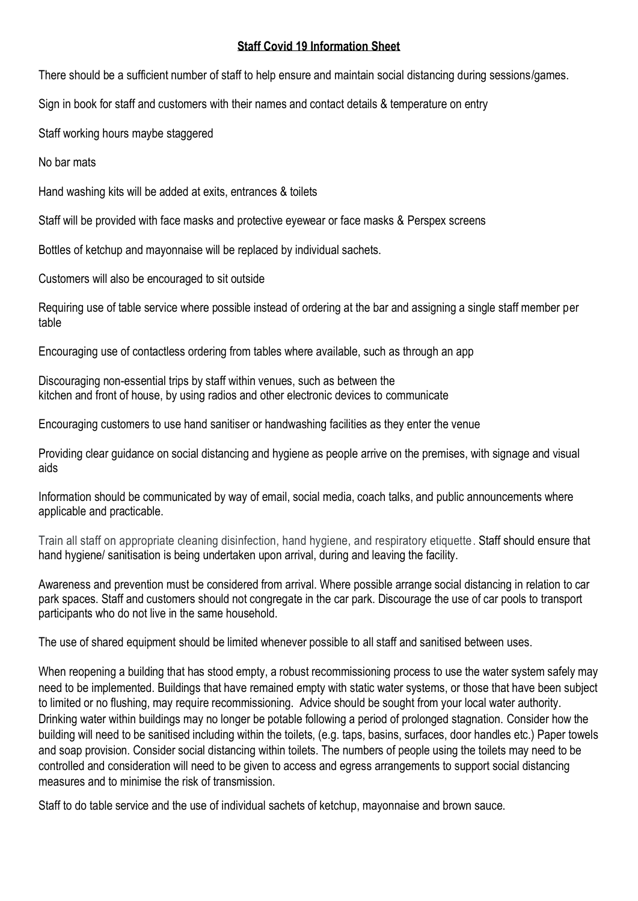## **Staff Covid 19 Information Sheet**

There should be a sufficient number of staff to help ensure and maintain social distancing during sessions/games.

Sign in book for staff and customers with their names and contact details & temperature on entry

Staff working hours maybe staggered

No bar mats

Hand washing kits will be added at exits, entrances & toilets

Staff will be provided with face masks and protective eyewear or face masks & Perspex screens

Bottles of ketchup and mayonnaise will be replaced by individual sachets.

Customers will also be encouraged to sit outside

Requiring use of table service where possible instead of ordering at the bar and assigning a single staff member per table

Encouraging use of contactless ordering from tables where available, such as through an app

Discouraging non-essential trips by staff within venues, such as between the kitchen and front of house, by using radios and other electronic devices to communicate

Encouraging customers to use hand sanitiser or handwashing facilities as they enter the venue

Providing clear guidance on social distancing and hygiene as people arrive on the premises, with signage and visual aids

Information should be communicated by way of email, social media, coach talks, and public announcements where applicable and practicable.

Train all staff on appropriate cleaning disinfection, hand hygiene, and respiratory etiquette. Staff should ensure that hand hygiene/ sanitisation is being undertaken upon arrival, during and leaving the facility.

Awareness and prevention must be considered from arrival. Where possible arrange social distancing in relation to car park spaces. Staff and customers should not congregate in the car park. Discourage the use of car pools to transport participants who do not live in the same household.

The use of shared equipment should be limited whenever possible to all staff and sanitised between uses.

When reopening a building that has stood empty, a robust recommissioning process to use the water system safely may need to be implemented. Buildings that have remained empty with static water systems, or those that have been subject to limited or no flushing, may require recommissioning. Advice should be sought from your local water authority. Drinking water within buildings may no longer be potable following a period of prolonged stagnation. Consider how the building will need to be sanitised including within the toilets, (e.g. taps, basins, surfaces, door handles etc.) Paper towels and soap provision. Consider social distancing within toilets. The numbers of people using the toilets may need to be controlled and consideration will need to be given to access and egress arrangements to support social distancing measures and to minimise the risk of transmission.

Staff to do table service and the use of individual sachets of ketchup, mayonnaise and brown sauce.